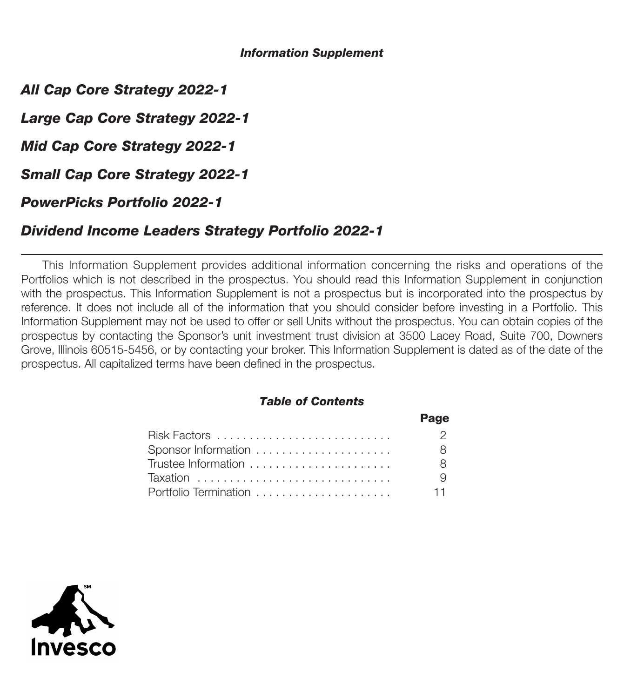## *Information Supplement*

*All Cap Core Strategy 2022-1*

*Large Cap Core Strategy 2022-1*

*Mid Cap Core Strategy 2022-1*

*Small Cap Core Strategy 2022-1*

*PowerPicks Portfolio 2022-1*

# *Dividend Income Leaders Strategy Portfolio 2022-1*

This Information Supplement provides additional information concerning the risks and operations of the Portfolios which is not described in the prospectus. You should read this Information Supplement in conjunction with the prospectus. This Information Supplement is not a prospectus but is incorporated into the prospectus by reference. It does not include all of the information that you should consider before investing in a Portfolio. This Information Supplement may not be used to offer or sell Units without the prospectus. You can obtain copies of the prospectus by contacting the Sponsor's unit investment trust division at 3500 Lacey Road, Suite 700, Downers Grove, Illinois 60515-5456, or by contacting your broker. This Information Supplement is dated as of the date of the prospectus. All capitalized terms have been defined in the prospectus.

## *Table of Contents*

|                       | Page  |
|-----------------------|-------|
|                       | - 2   |
| Sponsor Information   | 8 I   |
| Trustee Information   | - 8   |
|                       | - 9   |
| Portfolio Termination | $-11$ |

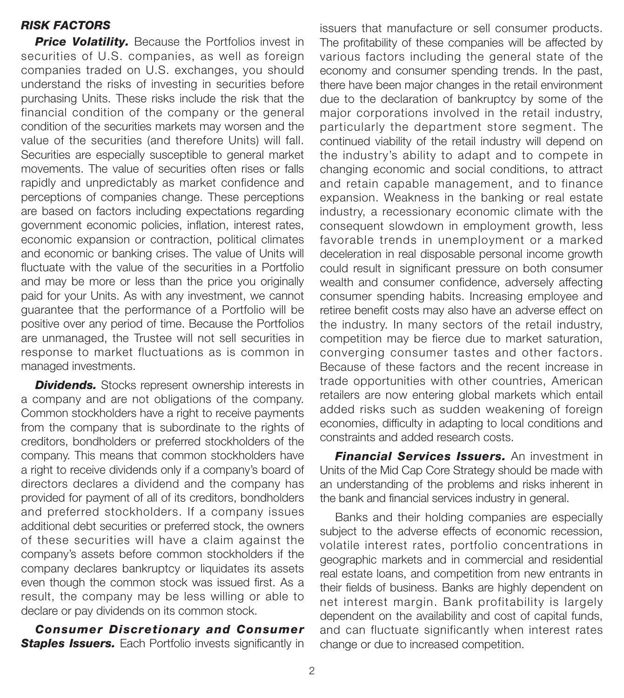## *RISK FACTORS*

**Price Volatility.** Because the Portfolios invest in securities of U.S. companies, as well as foreign companies traded on U.S. exchanges, you should understand the risks of investing in securities before purchasing Units. These risks include the risk that the financial condition of the company or the general condition of the securities markets may worsen and the value of the securities (and therefore Units) will fall. Securities are especially susceptible to general market movements. The value of securities often rises or falls rapidly and unpredictably as market confidence and perceptions of companies change. These perceptions are based on factors including expectations regarding government economic policies, inflation, interest rates, economic expansion or contraction, political climates and economic or banking crises. The value of Units will fluctuate with the value of the securities in a Portfolio and may be more or less than the price you originally paid for your Units. As with any investment, we cannot guarantee that the performance of a Portfolio will be positive over any period of time. Because the Portfolios are unmanaged, the Trustee will not sell securities in response to market fluctuations as is common in managed investments.

**Dividends.** Stocks represent ownership interests in a company and are not obligations of the company. Common stockholders have a right to receive payments from the company that is subordinate to the rights of creditors, bondholders or preferred stockholders of the company. This means that common stockholders have a right to receive dividends only if a company's board of directors declares a dividend and the company has provided for payment of all of its creditors, bondholders and preferred stockholders. If a company issues additional debt securities or preferred stock, the owners of these securities will have a claim against the company's assets before common stockholders if the company declares bankruptcy or liquidates its assets even though the common stock was issued first. As a result, the company may be less willing or able to declare or pay dividends on its common stock.

*Consumer Discretionary and Consumer* **Staples Issuers.** Each Portfolio invests significantly in

issuers that manufacture or sell consumer products. The profitability of these companies will be affected by various factors including the general state of the economy and consumer spending trends. In the past, there have been major changes in the retail environment due to the declaration of bankruptcy by some of the major corporations involved in the retail industry, particularly the department store segment. The continued viability of the retail industry will depend on the industry's ability to adapt and to compete in changing economic and social conditions, to attract and retain capable management, and to finance expansion. Weakness in the banking or real estate industry, a recessionary economic climate with the consequent slowdown in employment growth, less favorable trends in unemployment or a marked deceleration in real disposable personal income growth could result in significant pressure on both consumer wealth and consumer confidence, adversely affecting consumer spending habits. Increasing employee and retiree benefit costs may also have an adverse effect on the industry. In many sectors of the retail industry, competition may be fierce due to market saturation, converging consumer tastes and other factors. Because of these factors and the recent increase in trade opportunities with other countries, American retailers are now entering global markets which entail added risks such as sudden weakening of foreign economies, difficulty in adapting to local conditions and constraints and added research costs.

*Financial Services Issuers.* An investment in Units of the Mid Cap Core Strategy should be made with an understanding of the problems and risks inherent in the bank and financial services industry in general.

Banks and their holding companies are especially subject to the adverse effects of economic recession, volatile interest rates, portfolio concentrations in geographic markets and in commercial and residential real estate loans, and competition from new entrants in their fields of business. Banks are highly dependent on net interest margin. Bank profitability is largely dependent on the availability and cost of capital funds, and can fluctuate significantly when interest rates change or due to increased competition.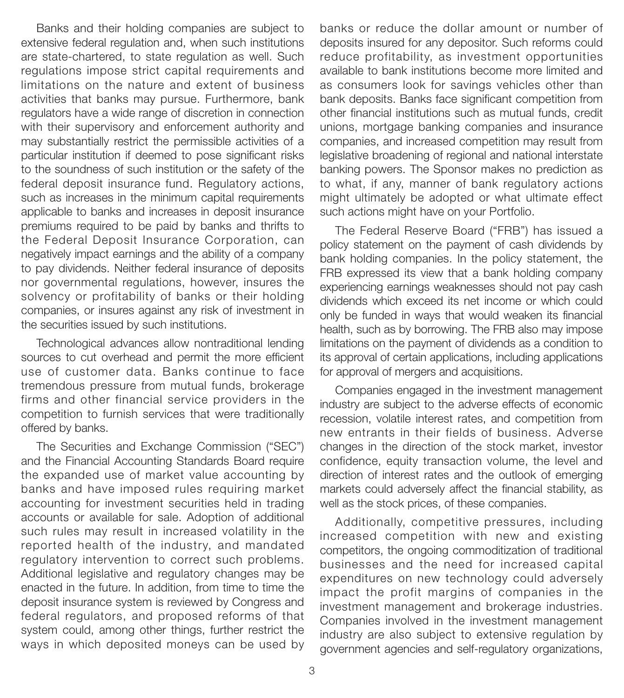Banks and their holding companies are subject to extensive federal regulation and, when such institutions are state-chartered, to state regulation as well. Such regulations impose strict capital requirements and limitations on the nature and extent of business activities that banks may pursue. Furthermore, bank regulators have a wide range of discretion in connection with their supervisory and enforcement authority and may substantially restrict the permissible activities of a particular institution if deemed to pose significant risks to the soundness of such institution or the safety of the federal deposit insurance fund. Regulatory actions, such as increases in the minimum capital requirements applicable to banks and increases in deposit insurance premiums required to be paid by banks and thrifts to the Federal Deposit Insurance Corporation, can negatively impact earnings and the ability of a company to pay dividends. Neither federal insurance of deposits nor governmental regulations, however, insures the solvency or profitability of banks or their holding companies, or insures against any risk of investment in the securities issued by such institutions.

Technological advances allow nontraditional lending sources to cut overhead and permit the more efficient use of customer data. Banks continue to face tremendous pressure from mutual funds, brokerage firms and other financial service providers in the competition to furnish services that were traditionally offered by banks.

The Securities and Exchange Commission ("SEC") and the Financial Accounting Standards Board require the expanded use of market value accounting by banks and have imposed rules requiring market accounting for investment securities held in trading accounts or available for sale. Adoption of additional such rules may result in increased volatility in the reported health of the industry, and mandated regulatory intervention to correct such problems. Additional legislative and regulatory changes may be enacted in the future. In addition, from time to time the deposit insurance system is reviewed by Congress and federal regulators, and proposed reforms of that system could, among other things, further restrict the ways in which deposited moneys can be used by

banks or reduce the dollar amount or number of deposits insured for any depositor. Such reforms could reduce profitability, as investment opportunities available to bank institutions become more limited and as consumers look for savings vehicles other than bank deposits. Banks face significant competition from other financial institutions such as mutual funds, credit unions, mortgage banking companies and insurance companies, and increased competition may result from legislative broadening of regional and national interstate banking powers. The Sponsor makes no prediction as to what, if any, manner of bank regulatory actions might ultimately be adopted or what ultimate effect such actions might have on your Portfolio.

The Federal Reserve Board ("FRB") has issued a policy statement on the payment of cash dividends by bank holding companies. In the policy statement, the FRB expressed its view that a bank holding company experiencing earnings weaknesses should not pay cash dividends which exceed its net income or which could only be funded in ways that would weaken its financial health, such as by borrowing. The FRB also may impose limitations on the payment of dividends as a condition to its approval of certain applications, including applications for approval of mergers and acquisitions.

Companies engaged in the investment management industry are subject to the adverse effects of economic recession, volatile interest rates, and competition from new entrants in their fields of business. Adverse changes in the direction of the stock market, investor confidence, equity transaction volume, the level and direction of interest rates and the outlook of emerging markets could adversely affect the financial stability, as well as the stock prices, of these companies.

Additionally, competitive pressures, including increased competition with new and existing competitors, the ongoing commoditization of traditional businesses and the need for increased capital expenditures on new technology could adversely impact the profit margins of companies in the investment management and brokerage industries. Companies involved in the investment management industry are also subject to extensive regulation by government agencies and self-regulatory organizations,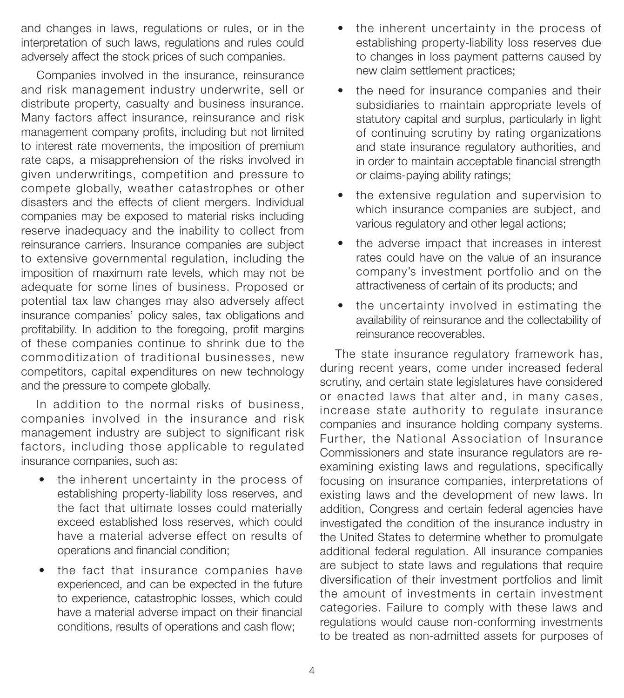and changes in laws, regulations or rules, or in the interpretation of such laws, regulations and rules could adversely affect the stock prices of such companies.

Companies involved in the insurance, reinsurance and risk management industry underwrite, sell or distribute property, casualty and business insurance. Many factors affect insurance, reinsurance and risk management company profits, including but not limited to interest rate movements, the imposition of premium rate caps, a misapprehension of the risks involved in given underwritings, competition and pressure to compete globally, weather catastrophes or other disasters and the effects of client mergers. Individual companies may be exposed to material risks including reserve inadequacy and the inability to collect from reinsurance carriers. Insurance companies are subject to extensive governmental regulation, including the imposition of maximum rate levels, which may not be adequate for some lines of business. Proposed or potential tax law changes may also adversely affect insurance companies' policy sales, tax obligations and profitability. In addition to the foregoing, profit margins of these companies continue to shrink due to the commoditization of traditional businesses, new competitors, capital expenditures on new technology and the pressure to compete globally.

In addition to the normal risks of business, companies involved in the insurance and risk management industry are subject to significant risk factors, including those applicable to regulated insurance companies, such as:

- the inherent uncertainty in the process of establishing property-liability loss reserves, and the fact that ultimate losses could materially exceed established loss reserves, which could have a material adverse effect on results of operations and financial condition;
- the fact that insurance companies have experienced, and can be expected in the future to experience, catastrophic losses, which could have a material adverse impact on their financial conditions, results of operations and cash flow;
- the inherent uncertainty in the process of establishing property-liability loss reserves due to changes in loss payment patterns caused by new claim settlement practices;
- the need for insurance companies and their subsidiaries to maintain appropriate levels of statutory capital and surplus, particularly in light of continuing scrutiny by rating organizations and state insurance regulatory authorities, and in order to maintain acceptable financial strength or claims-paying ability ratings;
- the extensive regulation and supervision to which insurance companies are subject, and various regulatory and other legal actions;
- the adverse impact that increases in interest rates could have on the value of an insurance company's investment portfolio and on the attractiveness of certain of its products; and
- the uncertainty involved in estimating the availability of reinsurance and the collectability of reinsurance recoverables.

The state insurance regulatory framework has, during recent years, come under increased federal scrutiny, and certain state legislatures have considered or enacted laws that alter and, in many cases, increase state authority to regulate insurance companies and insurance holding company systems. Further, the National Association of Insurance Commissioners and state insurance regulators are reexamining existing laws and regulations, specifically focusing on insurance companies, interpretations of existing laws and the development of new laws. In addition, Congress and certain federal agencies have investigated the condition of the insurance industry in the United States to determine whether to promulgate additional federal regulation. All insurance companies are subject to state laws and regulations that require diversification of their investment portfolios and limit the amount of investments in certain investment categories. Failure to comply with these laws and regulations would cause non-conforming investments to be treated as non-admitted assets for purposes of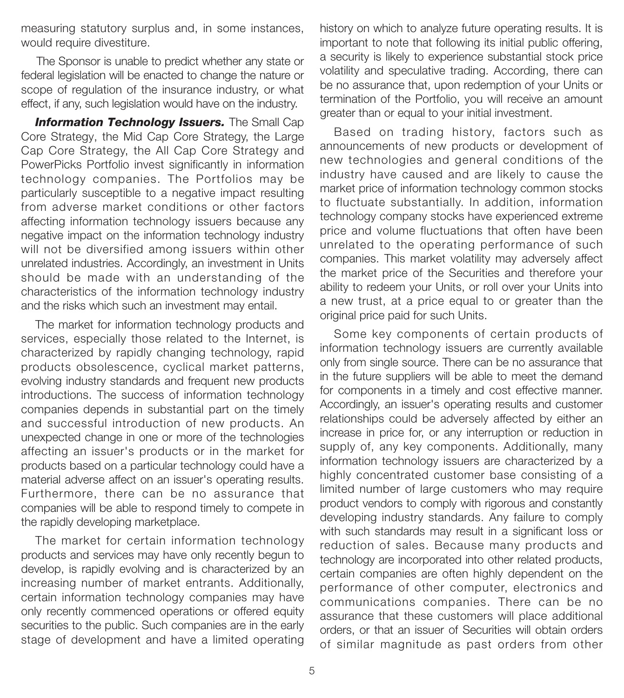measuring statutory surplus and, in some instances, would require divestiture.

The Sponsor is unable to predict whether any state or federal legislation will be enacted to change the nature or scope of regulation of the insurance industry, or what effect, if any, such legislation would have on the industry.

**Information Technology Issuers.** The Small Cap Core Strategy, the Mid Cap Core Strategy, the Large Cap Core Strategy, the All Cap Core Strategy and PowerPicks Portfolio invest significantly in information technology companies. The Portfolios may be particularly susceptible to a negative impact resulting from adverse market conditions or other factors affecting information technology issuers because any negative impact on the information technology industry will not be diversified among issuers within other unrelated industries. Accordingly, an investment in Units should be made with an understanding of the characteristics of the information technology industry and the risks which such an investment may entail.

The market for information technology products and services, especially those related to the Internet, is characterized by rapidly changing technology, rapid products obsolescence, cyclical market patterns, evolving industry standards and frequent new products introductions. The success of information technology companies depends in substantial part on the timely and successful introduction of new products. An unexpected change in one or more of the technologies affecting an issuer's products or in the market for products based on a particular technology could have a material adverse affect on an issuer's operating results. Furthermore, there can be no assurance that companies will be able to respond timely to compete in the rapidly developing marketplace.

The market for certain information technology products and services may have only recently begun to develop, is rapidly evolving and is characterized by an increasing number of market entrants. Additionally, certain information technology companies may have only recently commenced operations or offered equity securities to the public. Such companies are in the early stage of development and have a limited operating

history on which to analyze future operating results. It is important to note that following its initial public offering, a security is likely to experience substantial stock price volatility and speculative trading. According, there can be no assurance that, upon redemption of your Units or termination of the Portfolio, you will receive an amount greater than or equal to your initial investment.

Based on trading history, factors such as announcements of new products or development of new technologies and general conditions of the industry have caused and are likely to cause the market price of information technology common stocks to fluctuate substantially. In addition, information technology company stocks have experienced extreme price and volume fluctuations that often have been unrelated to the operating performance of such companies. This market volatility may adversely affect the market price of the Securities and therefore your ability to redeem your Units, or roll over your Units into a new trust, at a price equal to or greater than the original price paid for such Units.

Some key components of certain products of information technology issuers are currently available only from single source. There can be no assurance that in the future suppliers will be able to meet the demand for components in a timely and cost effective manner. Accordingly, an issuer's operating results and customer relationships could be adversely affected by either an increase in price for, or any interruption or reduction in supply of, any key components. Additionally, many information technology issuers are characterized by a highly concentrated customer base consisting of a limited number of large customers who may require product vendors to comply with rigorous and constantly developing industry standards. Any failure to comply with such standards may result in a significant loss or reduction of sales. Because many products and technology are incorporated into other related products, certain companies are often highly dependent on the performance of other computer, electronics and communications companies. There can be no assurance that these customers will place additional orders, or that an issuer of Securities will obtain orders of similar magnitude as past orders from other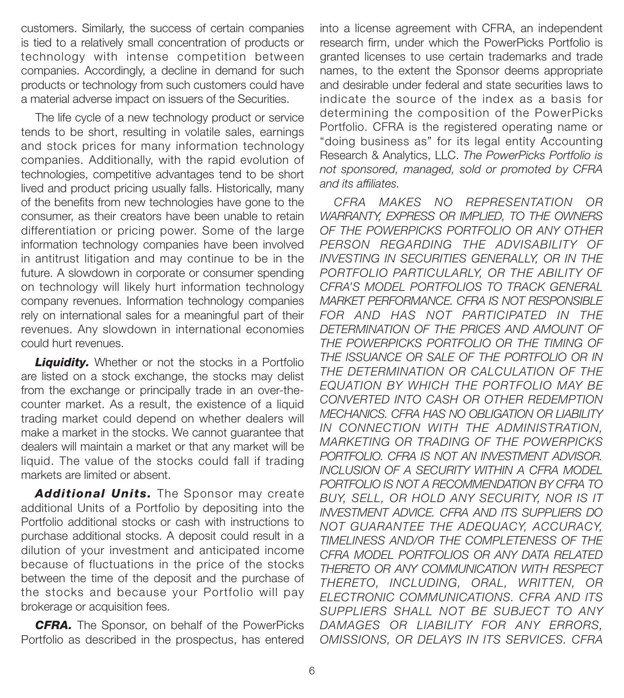customers. Similarly, the success of certain companies is tied to a relatively small concentration of products or technology with intense competition between companies. Accordingly, a decline in demand for such products or technology from such customers could have a material adverse impact on issuers of the Securities.

The life cycle of a new technology product or service tends to be short, resulting in volatile sales, earnings and stock prices for many information technology companies. Additionally, with the rapid evolution of technologies, competitive advantages tend to be short lived and product pricing usually falls. Historically, many of the benefits from new technologies have gone to the consumer, as their creators have been unable to retain differentiation or pricing power. Some of the large information technology companies have been involved in antitrust litigation and may continue to be in the future. A slowdown in corporate or consumer spending on technology will likely hurt information technology company revenues. Information technology companies rely on international sales for a meaningful part of their revenues. Any slowdown in international economies could hurt revenues.

**Liquidity.** Whether or not the stocks in a Portfolio are listed on a stock exchange, the stocks may delist from the exchange or principally trade in an over-thecounter market. As a result, the existence of a liquid trading market could depend on whether dealers will make a market in the stocks. We cannot guarantee that dealers will maintain a market or that any market will be liquid. The value of the stocks could fall if trading markets are limited or absent.

*Additional Units.* The Sponsor may create additional Units of a Portfolio by depositing into the Portfolio additional stocks or cash with instructions to purchase additional stocks. A deposit could result in a dilution of your investment and anticipated income because of fluctuations in the price of the stocks between the time of the deposit and the purchase of the stocks and because your Portfolio will pay brokerage or acquisition fees.

*CFRA.* The Sponsor, on behalf of the PowerPicks Portfolio as described in the prospectus, has entered

into a license agreement with CFRA, an independent research firm, under which the PowerPicks Portfolio is granted licenses to use certain trademarks and trade names, to the extent the Sponsor deems appropriate and desirable under federal and state securities laws to indicate the source of the index as a basis for determining the composition of the PowerPicks Portfolio. CFRA is the registered operating name or "doing business as" for its legal entity Accounting Research & Analytics, LLC. *The PowerPicks Portfolio is not sponsored, managed, sold or promoted by CFRA and its affiliates.*

*CFRA MAKES NO REPRESENTATION OR WARRANTY, EXPRESS OR IMPLIED, TO THE OWNERS OF THE POWERPICKS PORTFOLIO OR ANY OTHER PERSON REGARDING THE ADVISABILITY OF INVESTING IN SECURITIES GENERALLY, OR IN THE PORTFOLIO PARTICULARLY, OR THE ABILITY OF CFRA'S MODEL PORTFOLIOS TO TRACK GENERAL MARKET PERFORMANCE. CFRA IS NOT RESPONSIBLE FOR AND HAS NOT PARTICIPATED IN THE DETERMINATION OF THE PRICES AND AMOUNT OF THE POWERPICKS PORTFOLIO OR THE TIMING OF THE ISSUANCE OR SALE OF THE PORTFOLIO OR IN THE DETERMINATION OR CALCULATION OF THE EQUATION BY WHICH THE PORTFOLIO MAY BE CONVERTED INTO CASH OR OTHER REDEMPTION MECHANICS. CFRA HAS NO OBLIGATION OR LIABILITY IN CONNECTION WITH THE ADMINISTRATION, MARKETING OR TRADING OF THE POWERPICKS PORTFOLIO. CFRA IS NOT AN INVESTMENT ADVISOR. INCLUSION OF A SECURITY WITHIN A CFRA MODEL PORTFOLIO IS NOT A RECOMMENDATION BY CFRA TO BUY, SELL, OR HOLD ANY SECURITY, NOR IS IT INVESTMENT ADVICE. CFRA AND ITS SUPPLIERS DO NOT GUARANTEE THE ADEQUACY, ACCURACY, TIMELINESS AND/OR THE COMPLETENESS OF THE CFRA MODEL PORTFOLIOS OR ANY DATA RELATED THERETO OR ANY COMMUNICATION WITH RESPECT THERETO, INCLUDING, ORAL, WRITTEN, OR ELECTRONIC COMMUNICATIONS. CFRA AND ITS SUPPLIERS SHALL NOT BE SUBJECT TO ANY DAMAGES OR LIABILITY FOR ANY ERRORS, OMISSIONS, OR DELAYS IN ITS SERVICES. CFRA*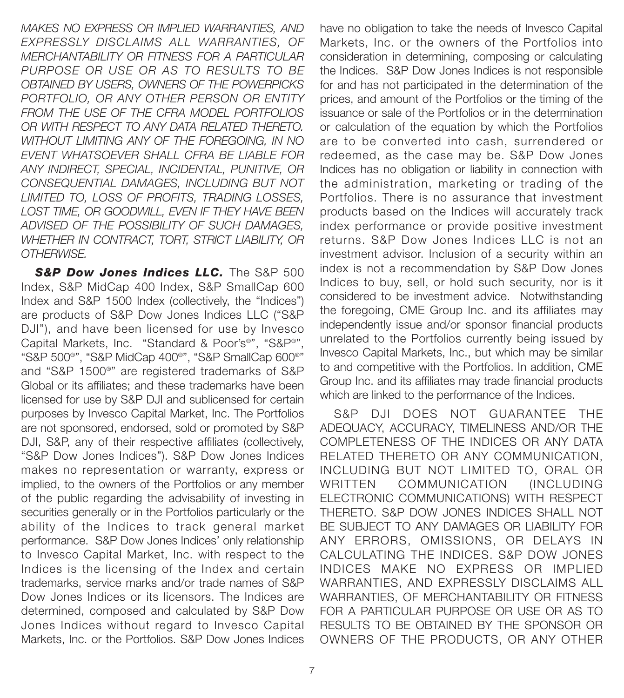*MAKES NO EXPRESS OR IMPLIED WARRANTIES, AND EXPRESSLY DISCLAIMS ALL WARRANTIES, OF MERCHANTABILITY OR FITNESS FOR A PARTICULAR PURPOSE OR USE OR AS TO RESULTS TO BE OBTAINED BY USERS, OWNERS OF THE POWERPICKS PORTFOLIO, OR ANY OTHER PERSON OR ENTITY FROM THE USE OF THE CFRA MODEL PORTFOLIOS OR WITH RESPECT TO ANY DATA RELATED THERETO. WITHOUT LIMITING ANY OF THE FOREGOING, IN NO EVENT WHATSOEVER SHALL CFRA BE LIABLE FOR ANY INDIRECT, SPECIAL, INCIDENTAL, PUNITIVE, OR CONSEQUENTIAL DAMAGES, INCLUDING BUT NOT LIMITED TO, LOSS OF PROFITS, TRADING LOSSES, LOST TIME, OR GOODWILL, EVEN IF THEY HAVE BEEN ADVISED OF THE POSSIBILITY OF SUCH DAMAGES, WHETHER IN CONTRACT, TORT, STRICT LIABILITY, OR OTHERWISE.* 

**S&P Dow Jones Indices LLC.** The S&P 500 Index, S&P MidCap 400 Index, S&P SmallCap 600 Index and S&P 1500 Index (collectively, the "Indices") are products of S&P Dow Jones Indices LLC ("S&P DJI"), and have been licensed for use by Invesco Capital Markets, Inc. "Standard & Poor's®", "S&P®", "S&P 500®", "S&P MidCap 400®", "S&P SmallCap 600®" and "S&P 1500®" are registered trademarks of S&P Global or its affiliates; and these trademarks have been licensed for use by S&P DJI and sublicensed for certain purposes by Invesco Capital Market, Inc. The Portfolios are not sponsored, endorsed, sold or promoted by S&P DJI, S&P, any of their respective affiliates (collectively, "S&P Dow Jones Indices"). S&P Dow Jones Indices makes no representation or warranty, express or implied, to the owners of the Portfolios or any member of the public regarding the advisability of investing in securities generally or in the Portfolios particularly or the ability of the Indices to track general market performance. S&P Dow Jones Indices' only relationship to Invesco Capital Market, Inc. with respect to the Indices is the licensing of the Index and certain trademarks, service marks and/or trade names of S&P Dow Jones Indices or its licensors. The Indices are determined, composed and calculated by S&P Dow Jones Indices without regard to Invesco Capital Markets, Inc. or the Portfolios. S&P Dow Jones Indices

have no obligation to take the needs of Invesco Capital Markets, Inc. or the owners of the Portfolios into consideration in determining, composing or calculating the Indices. S&P Dow Jones Indices is not responsible for and has not participated in the determination of the prices, and amount of the Portfolios or the timing of the issuance or sale of the Portfolios or in the determination or calculation of the equation by which the Portfolios are to be converted into cash, surrendered or redeemed, as the case may be. S&P Dow Jones Indices has no obligation or liability in connection with the administration, marketing or trading of the Portfolios. There is no assurance that investment products based on the Indices will accurately track index performance or provide positive investment returns. S&P Dow Jones Indices LLC is not an investment advisor. Inclusion of a security within an index is not a recommendation by S&P Dow Jones Indices to buy, sell, or hold such security, nor is it considered to be investment advice. Notwithstanding the foregoing, CME Group Inc. and its affiliates may independently issue and/or sponsor financial products unrelated to the Portfolios currently being issued by Invesco Capital Markets, Inc., but which may be similar to and competitive with the Portfolios. In addition, CME Group Inc. and its affiliates may trade financial products which are linked to the performance of the Indices.

S&P DJI DOES NOT GUARANTEE THE ADEQUACY, ACCURACY, TIMELINESS AND/OR THE COMPLETENESS OF THE INDICES OR ANY DATA RELATED THERETO OR ANY COMMUNICATION, INCLUDING BUT NOT LIMITED TO, ORAL OR WRITTEN COMMUNICATION (INCLUDING ELECTRONIC COMMUNICATIONS) WITH RESPECT THERETO. S&P DOW JONES INDICES SHALL NOT BE SUBJECT TO ANY DAMAGES OR LIABILITY FOR ANY ERRORS, OMISSIONS, OR DELAYS IN CALCULATING THE INDICES. S&P DOW JONES INDICES MAKE NO EXPRESS OR IMPLIED WARRANTIES, AND EXPRESSLY DISCLAIMS ALL WARRANTIES, OF MERCHANTABILITY OR FITNESS FOR A PARTICULAR PURPOSE OR USE OR AS TO RESULTS TO BE OBTAINED BY THE SPONSOR OR OWNERS OF THE PRODUCTS, OR ANY OTHER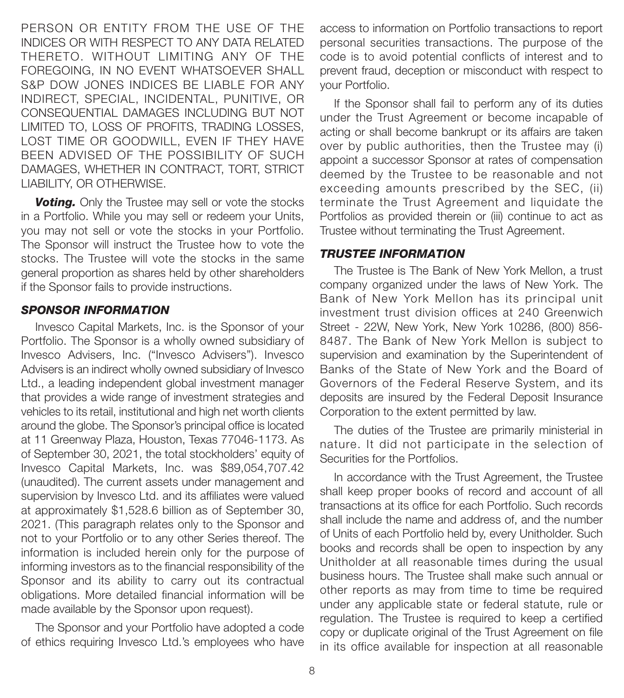PERSON OR ENTITY FROM THE USE OF THE INDICES OR WITH RESPECT TO ANY DATA RELATED THERETO. WITHOUT LIMITING ANY OF THE FOREGOING, IN NO EVENT WHATSOEVER SHALL S&P DOW JONES INDICES BE LIABLE FOR ANY INDIRECT, SPECIAL, INCIDENTAL, PUNITIVE, OR CONSEQUENTIAL DAMAGES INCLUDING BUT NOT LIMITED TO, LOSS OF PROFITS, TRADING LOSSES, LOST TIME OR GOODWILL, EVEN IF THEY HAVE BEEN ADVISED OF THE POSSIBILITY OF SUCH DAMAGES, WHETHER IN CONTRACT, TORT, STRICT LIABILITY, OR OTHERWISE.

**Voting.** Only the Trustee may sell or vote the stocks in a Portfolio. While you may sell or redeem your Units, you may not sell or vote the stocks in your Portfolio. The Sponsor will instruct the Trustee how to vote the stocks. The Trustee will vote the stocks in the same general proportion as shares held by other shareholders if the Sponsor fails to provide instructions.

#### *SPONSOR INFORMATION*

Invesco Capital Markets, Inc. is the Sponsor of your Portfolio. The Sponsor is a wholly owned subsidiary of Invesco Advisers, Inc. ("Invesco Advisers"). Invesco Advisers is an indirect wholly owned subsidiary of Invesco Ltd., a leading independent global investment manager that provides a wide range of investment strategies and vehicles to its retail, institutional and high net worth clients around the globe. The Sponsor's principal office is located at 11 Greenway Plaza, Houston, Texas 77046-1173. As of September 30, 2021, the total stockholders' equity of Invesco Capital Markets, Inc. was \$89,054,707.42 (unaudited). The current assets under management and supervision by Invesco Ltd. and its affiliates were valued at approximately \$1,528.6 billion as of September 30, 2021. (This paragraph relates only to the Sponsor and not to your Portfolio or to any other Series thereof. The information is included herein only for the purpose of informing investors as to the financial responsibility of the Sponsor and its ability to carry out its contractual obligations. More detailed financial information will be made available by the Sponsor upon request).

The Sponsor and your Portfolio have adopted a code of ethics requiring Invesco Ltd.'s employees who have

access to information on Portfolio transactions to report personal securities transactions. The purpose of the code is to avoid potential conflicts of interest and to prevent fraud, deception or misconduct with respect to your Portfolio.

If the Sponsor shall fail to perform any of its duties under the Trust Agreement or become incapable of acting or shall become bankrupt or its affairs are taken over by public authorities, then the Trustee may (i) appoint a successor Sponsor at rates of compensation deemed by the Trustee to be reasonable and not exceeding amounts prescribed by the SEC, (ii) terminate the Trust Agreement and liquidate the Portfolios as provided therein or (iii) continue to act as Trustee without terminating the Trust Agreement.

#### *TRUSTEE INFORMATION*

The Trustee is The Bank of New York Mellon, a trust company organized under the laws of New York. The Bank of New York Mellon has its principal unit investment trust division offices at 240 Greenwich Street - 22W, New York, New York 10286, (800) 856- 8487. The Bank of New York Mellon is subject to supervision and examination by the Superintendent of Banks of the State of New York and the Board of Governors of the Federal Reserve System, and its deposits are insured by the Federal Deposit Insurance Corporation to the extent permitted by law.

The duties of the Trustee are primarily ministerial in nature. It did not participate in the selection of Securities for the Portfolios.

In accordance with the Trust Agreement, the Trustee shall keep proper books of record and account of all transactions at its office for each Portfolio. Such records shall include the name and address of, and the number of Units of each Portfolio held by, every Unitholder. Such books and records shall be open to inspection by any Unitholder at all reasonable times during the usual business hours. The Trustee shall make such annual or other reports as may from time to time be required under any applicable state or federal statute, rule or regulation. The Trustee is required to keep a certified copy or duplicate original of the Trust Agreement on file in its office available for inspection at all reasonable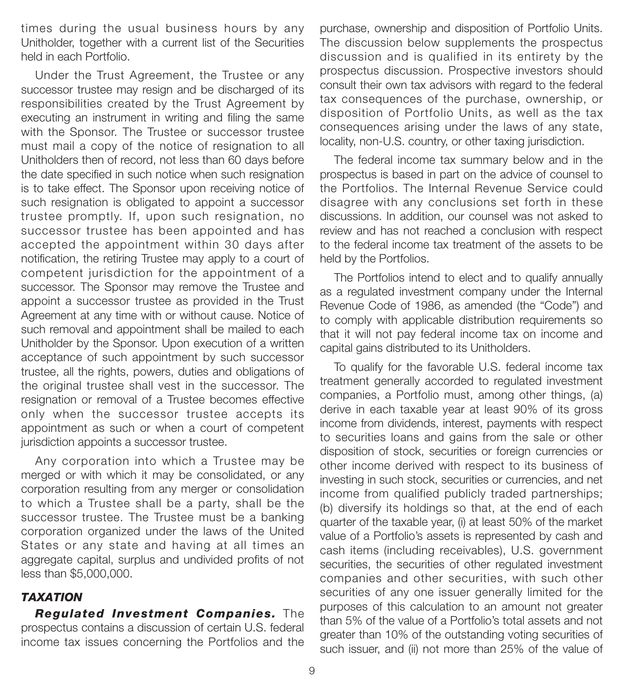times during the usual business hours by any Unitholder, together with a current list of the Securities held in each Portfolio.

Under the Trust Agreement, the Trustee or any successor trustee may resign and be discharged of its responsibilities created by the Trust Agreement by executing an instrument in writing and filing the same with the Sponsor. The Trustee or successor trustee must mail a copy of the notice of resignation to all Unitholders then of record, not less than 60 days before the date specified in such notice when such resignation is to take effect. The Sponsor upon receiving notice of such resignation is obligated to appoint a successor trustee promptly. If, upon such resignation, no successor trustee has been appointed and has accepted the appointment within 30 days after notification, the retiring Trustee may apply to a court of competent jurisdiction for the appointment of a successor. The Sponsor may remove the Trustee and appoint a successor trustee as provided in the Trust Agreement at any time with or without cause. Notice of such removal and appointment shall be mailed to each Unitholder by the Sponsor. Upon execution of a written acceptance of such appointment by such successor trustee, all the rights, powers, duties and obligations of the original trustee shall vest in the successor. The resignation or removal of a Trustee becomes effective only when the successor trustee accepts its appointment as such or when a court of competent jurisdiction appoints a successor trustee.

Any corporation into which a Trustee may be merged or with which it may be consolidated, or any corporation resulting from any merger or consolidation to which a Trustee shall be a party, shall be the successor trustee. The Trustee must be a banking corporation organized under the laws of the United States or any state and having at all times an aggregate capital, surplus and undivided profits of not less than \$5,000,000.

# *TAXATION*

*Regulated Investment Companies.* The prospectus contains a discussion of certain U.S. federal income tax issues concerning the Portfolios and the

purchase, ownership and disposition of Portfolio Units. The discussion below supplements the prospectus discussion and is qualified in its entirety by the prospectus discussion. Prospective investors should consult their own tax advisors with regard to the federal tax consequences of the purchase, ownership, or disposition of Portfolio Units, as well as the tax consequences arising under the laws of any state, locality, non-U.S. country, or other taxing jurisdiction.

The federal income tax summary below and in the prospectus is based in part on the advice of counsel to the Portfolios. The Internal Revenue Service could disagree with any conclusions set forth in these discussions. In addition, our counsel was not asked to review and has not reached a conclusion with respect to the federal income tax treatment of the assets to be held by the Portfolios.

The Portfolios intend to elect and to qualify annually as a regulated investment company under the Internal Revenue Code of 1986, as amended (the "Code") and to comply with applicable distribution requirements so that it will not pay federal income tax on income and capital gains distributed to its Unitholders.

To qualify for the favorable U.S. federal income tax treatment generally accorded to regulated investment companies, a Portfolio must, among other things, (a) derive in each taxable year at least 90% of its gross income from dividends, interest, payments with respect to securities loans and gains from the sale or other disposition of stock, securities or foreign currencies or other income derived with respect to its business of investing in such stock, securities or currencies, and net income from qualified publicly traded partnerships; (b) diversify its holdings so that, at the end of each quarter of the taxable year, (i) at least 50% of the market value of a Portfolio's assets is represented by cash and cash items (including receivables), U.S. government securities, the securities of other regulated investment companies and other securities, with such other securities of any one issuer generally limited for the purposes of this calculation to an amount not greater than 5% of the value of a Portfolio's total assets and not greater than 10% of the outstanding voting securities of such issuer, and (ii) not more than 25% of the value of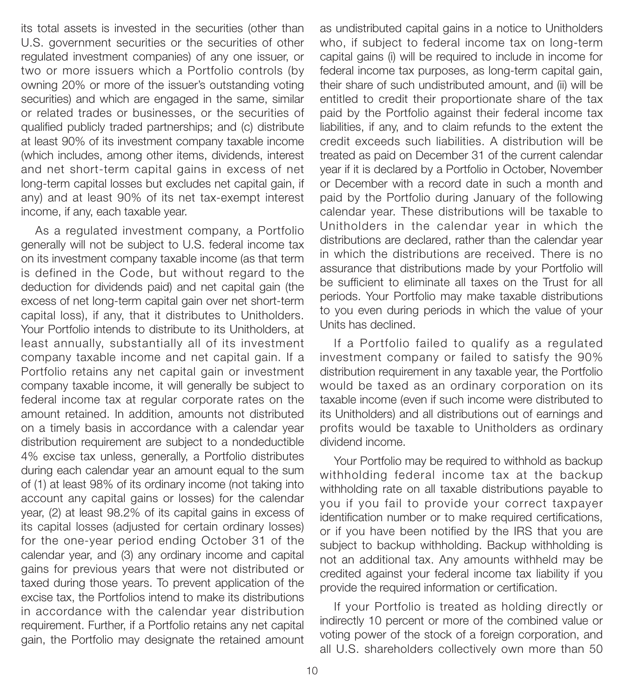its total assets is invested in the securities (other than U.S. government securities or the securities of other regulated investment companies) of any one issuer, or two or more issuers which a Portfolio controls (by owning 20% or more of the issuer's outstanding voting securities) and which are engaged in the same, similar or related trades or businesses, or the securities of qualified publicly traded partnerships; and (c) distribute at least 90% of its investment company taxable income (which includes, among other items, dividends, interest and net short-term capital gains in excess of net long-term capital losses but excludes net capital gain, if any) and at least 90% of its net tax-exempt interest income, if any, each taxable year.

As a regulated investment company, a Portfolio generally will not be subject to U.S. federal income tax on its investment company taxable income (as that term is defined in the Code, but without regard to the deduction for dividends paid) and net capital gain (the excess of net long-term capital gain over net short-term capital loss), if any, that it distributes to Unitholders. Your Portfolio intends to distribute to its Unitholders, at least annually, substantially all of its investment company taxable income and net capital gain. If a Portfolio retains any net capital gain or investment company taxable income, it will generally be subject to federal income tax at regular corporate rates on the amount retained. In addition, amounts not distributed on a timely basis in accordance with a calendar year distribution requirement are subject to a nondeductible 4% excise tax unless, generally, a Portfolio distributes during each calendar year an amount equal to the sum of (1) at least 98% of its ordinary income (not taking into account any capital gains or losses) for the calendar year, (2) at least 98.2% of its capital gains in excess of its capital losses (adjusted for certain ordinary losses) for the one-year period ending October 31 of the calendar year, and (3) any ordinary income and capital gains for previous years that were not distributed or taxed during those years. To prevent application of the excise tax, the Portfolios intend to make its distributions in accordance with the calendar year distribution requirement. Further, if a Portfolio retains any net capital gain, the Portfolio may designate the retained amount

as undistributed capital gains in a notice to Unitholders who, if subject to federal income tax on long-term capital gains (i) will be required to include in income for federal income tax purposes, as long-term capital gain, their share of such undistributed amount, and (ii) will be entitled to credit their proportionate share of the tax paid by the Portfolio against their federal income tax liabilities, if any, and to claim refunds to the extent the credit exceeds such liabilities. A distribution will be treated as paid on December 31 of the current calendar year if it is declared by a Portfolio in October, November or December with a record date in such a month and paid by the Portfolio during January of the following calendar year. These distributions will be taxable to Unitholders in the calendar year in which the distributions are declared, rather than the calendar year in which the distributions are received. There is no assurance that distributions made by your Portfolio will be sufficient to eliminate all taxes on the Trust for all periods. Your Portfolio may make taxable distributions to you even during periods in which the value of your Units has declined.

If a Portfolio failed to qualify as a regulated investment company or failed to satisfy the 90% distribution requirement in any taxable year, the Portfolio would be taxed as an ordinary corporation on its taxable income (even if such income were distributed to its Unitholders) and all distributions out of earnings and profits would be taxable to Unitholders as ordinary dividend income.

Your Portfolio may be required to withhold as backup withholding federal income tax at the backup withholding rate on all taxable distributions payable to you if you fail to provide your correct taxpayer identification number or to make required certifications, or if you have been notified by the IRS that you are subject to backup withholding. Backup withholding is not an additional tax. Any amounts withheld may be credited against your federal income tax liability if you provide the required information or certification.

If your Portfolio is treated as holding directly or indirectly 10 percent or more of the combined value or voting power of the stock of a foreign corporation, and all U.S. shareholders collectively own more than 50